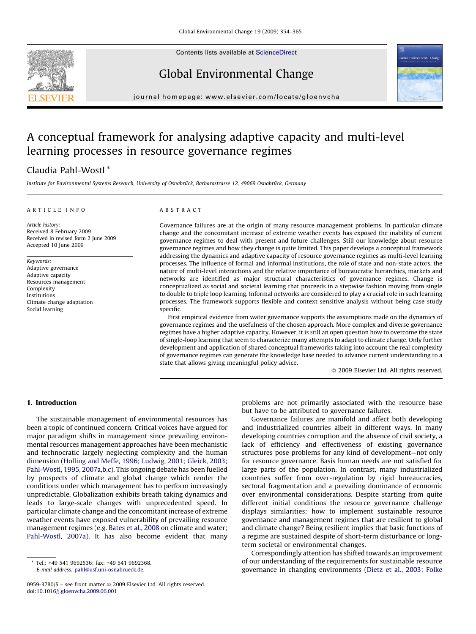



# Global Environmental Change



journal homepage: www.elsevier.com/locate/gloenvcha

# A conceptual framework for analysing adaptive capacity and multi-level learning processes in resource governance regimes

# Claudia Pahl-Wostl \*

Institute for Environmental Systems Research, University of Osnabru¨ck, Barbarastrasse 12, 49069 Osnabru¨ck, Germany

#### ARTICLE INFO

#### ABSTRACT

Article history: Received 8 February 2009 Received in revised form 2 June 2009 Accepted 10 June 2009

Keywords: Adaptive governance Adaptive capacity Resources management Complexity Institutions Climate change adaptation Social learning

Governance failures are at the origin of many resource management problems. In particular climate change and the concomitant increase of extreme weather events has exposed the inability of current governance regimes to deal with present and future challenges. Still our knowledge about resource governance regimes and how they change is quite limited. This paper develops a conceptual framework addressing the dynamics and adaptive capacity of resource governance regimes as multi-level learning processes. The influence of formal and informal institutions, the role of state and non-state actors, the nature of multi-level interactions and the relative importance of bureaucratic hierarchies, markets and networks are identified as major structural characteristics of governance regimes. Change is conceptualized as social and societal learning that proceeds in a stepwise fashion moving from single to double to triple loop learning. Informal networks are considered to play a crucial role in such learning processes. The framework supports flexible and context sensitive analysis without being case study specific.

First empirical evidence from water governance supports the assumptions made on the dynamics of governance regimes and the usefulness of the chosen approach. More complex and diverse governance regimes have a higher adaptive capacity. However, it is still an open question how to overcome the state of single-loop learning that seem to characterize many attempts to adapt to climate change. Only further development and application of shared conceptual frameworks taking into account the real complexity of governance regimes can generate the knowledge base needed to advance current understanding to a state that allows giving meaningful policy advice.

- 2009 Elsevier Ltd. All rights reserved.

# 1. Introduction

The sustainable management of environmental resources has been a topic of continued concern. Critical voices have argued for major paradigm shifts in management since prevailing environmental resources management approaches have been mechanistic and technocratic largely neglecting complexity and the human dimension ([Holling and Meffe, 1996; Ludwig, 2001; Gleick, 2003;](#page-10-0) [Pahl-Wostl, 1995, 2007a,b,c\)](#page-10-0). This ongoing debate has been fuelled by prospects of climate and global change which render the conditions under which management has to perform increasingly unpredictable. Globalization exhibits breath taking dynamics and leads to large-scale changes with unprecedented speed. In particular climate change and the concomitant increase of extreme weather events have exposed vulnerability of prevailing resource management regimes (e.g. [Bates et al., 2008](#page-9-0) on climate and water; [Pahl-Wostl, 2007a\)](#page-10-0). It has also become evident that many

problems are not primarily associated with the resource base but have to be attributed to governance failures.

Governance failures are manifold and affect both developing and industrialized countries albeit in different ways. In many developing countries corruption and the absence of civil society, a lack of efficiency and effectiveness of existing governance structures pose problems for any kind of development—not only for resource governance. Basis human needs are not satisfied for large parts of the population. In contrast, many industrialized countries suffer from over-regulation by rigid bureaucracies, sectoral fragmentation and a prevailing dominance of economic over environmental considerations. Despite starting from quite different initial conditions the resource governance challenge displays similarities: how to implement sustainable resource governance and management regimes that are resilient to global and climate change? Being resilient implies that basic functions of a regime are sustained despite of short-term disturbance or longterm societal or environmental changes.

Correspondingly attention has shifted towards an improvement of our understanding of the requirements for sustainable resource governance in changing environments [\(Dietz et al., 2003; Folke](#page-9-0)

<sup>\*</sup> Tel.: +49 541 9692536; fax: +49 541 9692368. E-mail address: [pahl@usf.uni-osnabrueck.de](mailto:pahl@usf.uni-osnabrueck.de).

<sup>0959-3780/\$ –</sup> see front matter © 2009 Elsevier Ltd. All rights reserved. doi:[10.1016/j.gloenvcha.2009.06.001](http://dx.doi.org/10.1016/j.gloenvcha.2009.06.001)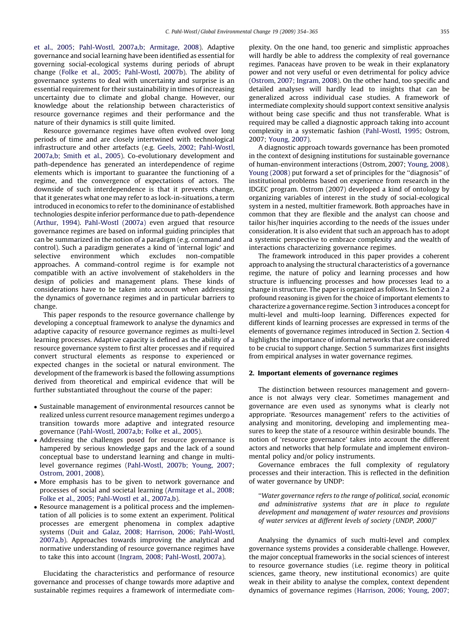<span id="page-1-0"></span>[et al., 2005; Pahl-Wostl, 2007a,b; Armitage, 2008](#page-9-0)). Adaptive governance and social learning have been identified as essential for governing social-ecological systems during periods of abrupt change [\(Folke et al., 2005; Pahl-Wostl, 2007b](#page-9-0)). The ability of governance systems to deal with uncertainty and surprise is an essential requirement for their sustainability in times of increasing uncertainty due to climate and global change. However, our knowledge about the relationship between characteristics of resource governance regimes and their performance and the nature of their dynamics is still quite limited.

Resource governance regimes have often evolved over long periods of time and are closely intertwined with technological infrastructure and other artefacts (e.g. [Geels, 2002; Pahl-Wostl,](#page-9-0) [2007a,b; Smith et al., 2005](#page-9-0)). Co-evolutionary development and path-dependence has generated an interdependence of regime elements which is important to guarantee the functioning of a regime, and the convergence of expectations of actors. The downside of such interdependence is that it prevents change, that it generates what one may refer to as lock-in-situations, a term introduced in economics to refer to the domininance of established technologies despite inferior performance due to path-dependence ([Arthur, 1994\)](#page-9-0). [Pahl-Wostl \(2007a\)](#page-10-0) even argued that resource governance regimes are based on informal guiding principles that can be summarized in the notion of a paradigm (e.g. command and control). Such a paradigm generates a kind of 'internal logic' and selective environment which excludes non-compatible approaches. A command-control regime is for example not compatible with an active involvement of stakeholders in the design of policies and management plans. These kinds of considerations have to be taken into account when addressing the dynamics of governance regimes and in particular barriers to change.

This paper responds to the resource governance challenge by developing a conceptual framework to analyse the dynamics and adaptive capacity of resource governance regimes as multi-level learning processes. Adaptive capacity is defined as the ability of a resource governance system to first alter processes and if required convert structural elements as response to experienced or expected changes in the societal or natural environment. The development of the framework is based the following assumptions derived from theoretical and empirical evidence that will be further substantiated throughout the course of the paper:

- Sustainable management of environmental resources cannot be realized unless current resource management regimes undergo a transition towards more adaptive and integrated resource governance [\(Pahl-Wostl, 2007a,b; Folke et al., 2005](#page-10-0)).
- Addressing the challenges posed for resource governance is hampered by serious knowledge gaps and the lack of a sound conceptual base to understand learning and change in multilevel governance regimes ([Pahl-Wostl, 2007b; Young, 2007;](#page-10-0) [Ostrom, 2001, 2008\)](#page-10-0).
- More emphasis has to be given to network governance and processes of social and societal learning ([Armitage et al., 2008;](#page-9-0) [Folke et al., 2005; Pahl-Wostl et al., 2007a,b](#page-9-0)).
- Resource management is a political process and the implementation of all policies is to some extent an experiment. Political processes are emergent phenomena in complex adaptive systems [\(Duit and Galaz, 2008; Harrison, 2006; Pahl-Wostl,](#page-9-0) [2007a,b\)](#page-9-0). Approaches towards improving the analytical and normative understanding of resource governance regimes have to take this into account [\(Ingram, 2008; Pahl-Wostl, 2007a\)](#page-10-0).

Elucidating the characteristics and performance of resource governance and processes of change towards more adaptive and sustainable regimes requires a framework of intermediate complexity. On the one hand, too generic and simplistic approaches will hardly be able to address the complexity of real governance regimes. Panaceas have proven to be weak in their explanatory power and not very useful or even detrimental for policy advice ([Ostrom, 2007; Ingram, 2008](#page-10-0)). On the other hand, too specific and detailed analyses will hardly lead to insights that can be generalized across individual case studies. A framework of intermediate complexity should support context sensitive analysis without being case specific and thus not transferable. What is required may be called a diagnostic approach taking into account complexity in a systematic fashion ([Pahl-Wostl, 1995](#page-10-0); Ostrom, 2007; [Young, 2007](#page-11-0)).

A diagnostic approach towards governance has been promoted in the context of designing institutions for sustainable governance of human-environment interactions (Ostrom, 2007; [Young, 2008\)](#page-11-0). [Young \(2008\)](#page-11-0) put forward a set of principles for the ''diagnosis'' of institutional problems based on experience from research in the IDGEC program. Ostrom (2007) developed a kind of ontology by organizing variables of interest in the study of social-ecological system in a nested, multitier framework. Both approaches have in common that they are flexible and the analyst can choose and tailor his/her inquiries according to the needs of the issues under consideration. It is also evident that such an approach has to adopt a systemic perspective to embrace complexity and the wealth of interactions characterizing governance regimes.

The framework introduced in this paper provides a coherent approach to analysing the structural characteristics of a governance regime, the nature of policy and learning processes and how structure is influencing processes and how processes lead to a change in structure. The paper is organized as follows. In Section 2 a profound reasoning is given for the choice of important elements to characterize a governance regime. Section [3](#page-4-0) introduces a concept for multi-level and multi-loop learning. Differences expected for different kinds of learning processes are expressed in terms of the elements of governance regimes introduced in Section 2. Section [4](#page-7-0) highlights the importance of informal networks that are considered to be crucial to support change. Section [5](#page-8-0) summarizes first insights from empirical analyses in water governance regimes.

#### 2. Important elements of governance regimes

The distinction between resources management and governance is not always very clear. Sometimes management and governance are even used as synonyms what is clearly not appropriate. 'Resources management' refers to the activities of analysing and monitoring, developing and implementing measures to keep the state of a resource within desirable bounds. The notion of 'resource governance' takes into account the different actors and networks that help formulate and implement environmental policy and/or policy instruments.

Governance embraces the full complexity of regulatory processes and their interaction. This is reflected in the definition of water governance by UNDP:

''Water governance refers to the range of political, social, economic and administrative systems that are in place to regulate development and management of water resources and provisions of water services at different levels of society (UNDP, 2000)''

Analysing the dynamics of such multi-level and complex governance systems provides a considerable challenge. However, the major conceptual frameworks in the social sciences of interest to resource governance studies (i.e. regime theory in political sciences, game theory, new institutional economics) are quite weak in their ability to analyse the complex, context dependent dynamics of governance regimes ([Harrison, 2006; Young, 2007;](#page-10-0)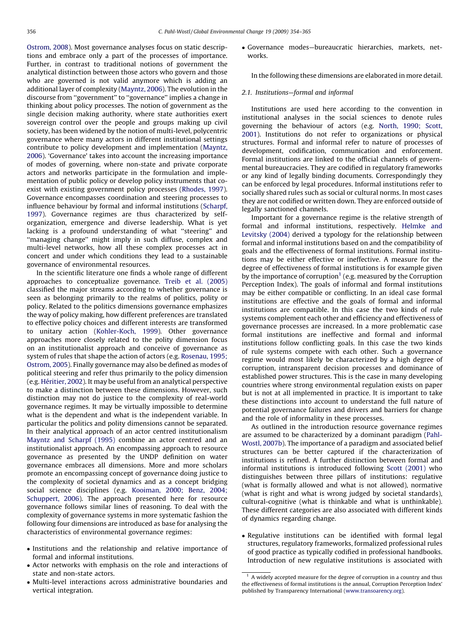[Ostrom, 2008\)](#page-10-0). Most governance analyses focus on static descriptions and embrace only a part of the processes of importance. Further, in contrast to traditional notions of government the analytical distinction between those actors who govern and those who are governed is not valid anymore which is adding an additional layer of complexity [\(Mayntz, 2006](#page-10-0)). The evolution in the discourse from ''government'' to ''governance'' implies a change in thinking about policy processes. The notion of government as the single decision making authority, where state authorities exert sovereign control over the people and groups making up civil society, has been widened by the notion of multi-level, polycentric governance where many actors in different institutional settings contribute to policy development and implementation ([Mayntz,](#page-10-0) [2006\)](#page-10-0). 'Governance' takes into account the increasing importance of modes of governing, where non-state and private corporate actors and networks participate in the formulation and implementation of public policy or develop policy instruments that coexist with existing government policy processes ([Rhodes, 1997\)](#page-10-0). Governance encompasses coordination and steering processes to influence behaviour by formal and informal institutions [\(Scharpf,](#page-10-0) [1997](#page-10-0)). Governance regimes are thus characterized by selforganization, emergence and diverse leadership. What is yet lacking is a profound understanding of what ''steering'' and ''managing change'' might imply in such diffuse, complex and multi-level networks, how all these complex processes act in concert and under which conditions they lead to a sustainable governance of environmental resources.

In the scientific literature one finds a whole range of different approaches to conceptualize governance. [Treib et al. \(2005\)](#page-11-0) classified the major streams according to whether governance is seen as belonging primarily to the realms of politics, polity or policy. Related to the politics dimensions governance emphasizes the way of policy making, how different preferences are translated to effective policy choices and different interests are transformed to unitary action ([Kohler-Koch, 1999\)](#page-10-0). Other governance approaches more closely related to the polity dimension focus on an institutionalist approach and conceive of governance as system of rules that shape the action of actors (e.g. [Rosenau, 1995;](#page-10-0) [Ostrom, 2005\)](#page-10-0). Finally governance may also be defined as modes of political steering and refer thus primarily to the policy dimension (e.g. Hé[ritier, 2002](#page-10-0)). It may be useful from an analytical perspective to make a distinction between these dimensions. However, such distinction may not do justice to the complexity of real-world governance regimes. It may be virtually impossible to determine what is the dependent and what is the independent variable. In particular the politics and polity dimensions cannot be separated. In their analytical approach of an actor centred institutionalism [Mayntz and Scharpf \(1995\)](#page-10-0) combine an actor centred and an institutionalist approach. An encompassing approach to resource governance as presented by the UNDP definition on water governance embraces all dimensions. More and more scholars promote an encompassing concept of governance doing justice to the complexity of societal dynamics and as a concept bridging social science disciplines (e.g. [Kooiman, 2000; Benz, 2004;](#page-10-0) [Schuppert, 2006](#page-10-0)). The approach presented here for resource governance follows similar lines of reasoning. To deal with the complexity of governance systems in more systematic fashion the following four dimensions are introduced as base for analysing the characteristics of environmental governance regimes:

- Institutions and the relationship and relative importance of formal and informal institutions.
- Actor networks with emphasis on the role and interactions of state and non-state actors.
- Multi-level interactions across administrative boundaries and vertical integration.

- Governance modes—bureaucratic hierarchies, markets, networks.

In the following these dimensions are elaborated in more detail.

### 2.1. Institutions—formal and informal

Institutions are used here according to the convention in institutional analyses in the social sciences to denote rules governing the behaviour of actors (e.g. [North, 1990; Scott,](#page-10-0) [2001\)](#page-10-0). Institutions do not refer to organizations or physical structures. Formal and informal refer to nature of processes of development, codification, communication and enforcement. Formal institutions are linked to the official channels of governmental bureaucracies. They are codified in regulatory frameworks or any kind of legally binding documents. Correspondingly they can be enforced by legal procedures. Informal institutions refer to socially shared rules such as social or cultural norms. In most cases they are not codified or written down. They are enforced outside of legally sanctioned channels.

Important for a governance regime is the relative strength of formal and informal institutions, respectively. [Helmke and](#page-10-0) [Levitsky \(2004\)](#page-10-0) derived a typology for the relationship between formal and informal institutions based on and the compatibility of goals and the effectiveness of formal institutions. Formal institutions may be either effective or ineffective. A measure for the degree of effectiveness of formal institutions is for example given by the importance of corruption<sup>1</sup> (e.g. measured by the Corruption Perception Index). The goals of informal and formal institutions may be either compatible or conflicting. In an ideal case formal institutions are effective and the goals of formal and informal institutions are compatible. In this case the two kinds of rule systems complement each other and efficiency and effectiveness of governance processes are increased. In a more problematic case formal institutions are ineffective and formal and informal institutions follow conflicting goals. In this case the two kinds of rule systems compete with each other. Such a governance regime would most likely be characterized by a high degree of corruption, intransparent decision processes and dominance of established power structures. This is the case in many developing countries where strong environmental regulation exists on paper but is not at all implemented in practice. It is important to take these distinctions into account to understand the full nature of potential governance failures and drivers and barriers for change and the role of informality in these processes.

As outlined in the introduction resource governance regimes are assumed to be characterized by a dominant paradigm ([Pahl-](#page-10-0)[Wostl, 2007b](#page-10-0)). The importance of a paradigm and associated belief structures can be better captured if the characterization of institutions is refined. A further distinction between formal and informal institutions is introduced following [Scott \(2001\)](#page-10-0) who distinguishes between three pillars of institutions: regulative (what is formally allowed and what is not allowed), normative (what is right and what is wrong judged by societal standards), cultural-cognitive (what is thinkable and what is unthinkable). These different categories are also associated with different kinds of dynamics regarding change.

- Regulative institutions can be identified with formal legal structures, regulatory frameworks, formalized professional rules of good practice as typically codified in professional handbooks. Introduction of new regulative institutions is associated with

 $1$  A widely accepted measure for the degree of corruption in a country and thus the effectiveness of formal institutions is the annual, Corruption Perception Index' published by Transparency International ([www.transoarency.org\)](http://ec.europa.eu/environment/water/water-framework/pdf/wfd_newsletter_1.pdf).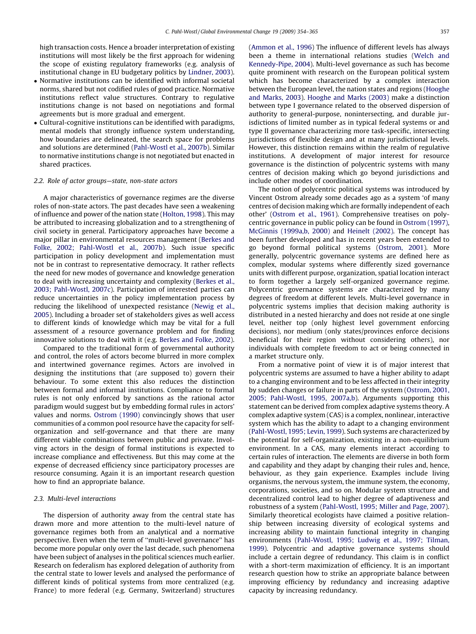high transaction costs. Hence a broader interpretation of existing institutions will most likely be the first approach for widening the scope of existing regulatory frameworks (e.g. analysis of institutional change in EU budgetary politics by [Lindner, 2003\)](#page-10-0).

- Normative institutions can be identified with informal societal norms, shared but not codified rules of good practice. Normative institutions reflect value structures. Contrary to regulative institutions change is not based on negotiations and formal agreements but is more gradual and emergent.
- Cultural-cognitive institutions can be identified with paradigms, mental models that strongly influence system understanding, how boundaries are delineated, the search space for problems and solutions are determined ([Pahl-Wostl et al., 2007b](#page-10-0)). Similar to normative institutions change is not negotiated but enacted in shared practices.

#### 2.2. Role of actor groups—state, non-state actors

A major characteristics of governance regimes are the diverse roles of non-state actors. The past decades have seen a weakening of influence and power of the nation state ([Holton, 1998\)](#page-10-0). This may be attributed to increasing globalization and to a strengthening of civil society in general. Participatory approaches have become a major pillar in environmental resources management ([Berkes and](#page-9-0) [Folke, 2002; Pahl-Wostl et al., 2007b](#page-9-0)). Such issue specific participation in policy development and implementation must not be in contrast to representative democracy. It rather reflects the need for new modes of governance and knowledge generation to deal with increasing uncertainty and complexity [\(Berkes et al.,](#page-9-0) [2003; Pahl-Wostl, 2007c](#page-9-0)). Participation of interested parties can reduce uncertainties in the policy implementation process by reducing the likelihood of unexpected resistance [\(Newig et al.,](#page-10-0) [2005\)](#page-10-0). Including a broader set of stakeholders gives as well access to different kinds of knowledge which may be vital for a full assessment of a resource governance problem and for finding innovative solutions to deal with it (e.g. [Berkes and Folke, 2002\)](#page-9-0).

Compared to the traditional form of governmental authority and control, the roles of actors become blurred in more complex and intertwined governance regimes. Actors are involved in designing the institutions that (are supposed to) govern their behaviour. To some extent this also reduces the distinction between formal and informal institutions. Compliance to formal rules is not only enforced by sanctions as the rational actor paradigm would suggest but by embedding formal rules in actors' values and norms. [Ostrom \(1990\)](#page-10-0) convincingly shows that user communities of a common pool resource have the capacity for selforganization and self-governance and that there are many different viable combinations between public and private. Involving actors in the design of formal institutions is expected to increase compliance and effectiveness. But this may come at the expense of decreased efficiency since participatory processes are resource consuming. Again it is an important research question how to find an appropriate balance.

#### 2.3. Multi-level interactions

The dispersion of authority away from the central state has drawn more and more attention to the multi-level nature of governance regimes both from an analytical and a normative perspective. Even when the term of ''multi-level governance'' has become more popular only over the last decade, such phenomena have been subject of analyses in the political sciences much earlier. Research on federalism has explored delegation of authority from the central state to lower levels and analysed the performance of different kinds of political systems from more centralized (e.g. France) to more federal (e.g. Germany, Switzerland) structures

([Ammon et al., 1996](#page-9-0)) The influence of different levels has always been a theme in international relations studies [\(Welch and](#page-11-0) [Kennedy-Pipe, 2004](#page-11-0)). Multi-level governance as such has become quite prominent with research on the European political system which has become characterized by a complex interaction between the European level, the nation states and regions [\(Hooghe](#page-10-0) [and Marks, 2003\)](#page-10-0). [Hooghe and Marks \(2003\)](#page-10-0) make a distinction between type I governance related to the observed dispersion of authority to general-purpose, nonintersecting, and durable jurisdictions of limited number as in typical federal systems or and type II governance characterizing more task-specific, intersecting jurisdictions of flexible design and at many jurisdictional levels. However, this distinction remains within the realm of regulative institutions. A development of major interest for resource governance is the distinction of polycentric systems with many centres of decision making which go beyond jurisdictions and include other modes of coordination.

The notion of polycentric political systems was introduced by Vincent Ostrom already some decades ago as a system 'of many centres of decision making which are formally independent of each other' [\(Ostrom et al., 1961\)](#page-10-0). Comprehensive treatises on polycentric governance in public policy can be found in [Ostrom \(1997\),](#page-10-0) [McGinnis \(1999a,b, 2000\)](#page-10-0) and [Heinelt \(2002\)](#page-10-0). The concept has been further developed and has in recent years been extended to go beyond formal political systems ([Ostrom, 2001](#page-10-0)). More generally, polycentric governance systems are defined here as complex, modular systems where differently sized governance units with different purpose, organization, spatial location interact to form together a largely self-organized governance regime. Polycentric governance systems are characterized by many degrees of freedom at different levels. Multi-level governance in polycentric systems implies that decision making authority is distributed in a nested hierarchy and does not reside at one single level, neither top (only highest level government enforcing decisions), nor medium (only states/provinces enforce decisions beneficial for their region without considering others), nor individuals with complete freedom to act or being connected in a market structure only.

From a normative point of view it is of major interest that polycentric systems are assumed to have a higher ability to adapt to a changing environment and to be less affected in their integrity by sudden changes or failure in parts of the system [\(Ostrom, 2001,](#page-10-0) [2005; Pahl-Wostl, 1995, 2007a,b](#page-10-0)). Arguments supporting this statement can be derived from complex adaptive systems theory. A complex adaptive system (CAS) is a complex, nonlinear, interactive system which has the ability to adapt to a changing environment ([Pahl-Wostl, 1995; Levin, 1999\)](#page-10-0). Such systems are characterized by the potential for self-organization, existing in a non-equilibrium environment. In a CAS, many elements interact according to certain rules of interaction. The elements are diverse in both form and capability and they adapt by changing their rules and, hence, behaviour, as they gain experience. Examples include living organisms, the nervous system, the immune system, the economy, corporations, societies, and so on. Modular system structure and decentralized control lead to higher degree of adaptiveness and robustness of a system ([Pahl-Wostl, 1995; Miller and Page, 2007\)](#page-10-0). Similarly theoretical ecologists have claimed a positive relationship between increasing diversity of ecological systems and increasing ability to maintain functional integrity in changing environments [\(Pahl-Wostl, 1995; Ludwig et al., 1997; Tilman,](#page-10-0) [1999\)](#page-10-0). Polycentric and adaptive governance systems should include a certain degree of redundancy. This claim is in conflict with a short-term maximization of efficiency. It is an important research question how to strike an appropriate balance between improving efficiency by redundancy and increasing adaptive capacity by increasing redundancy.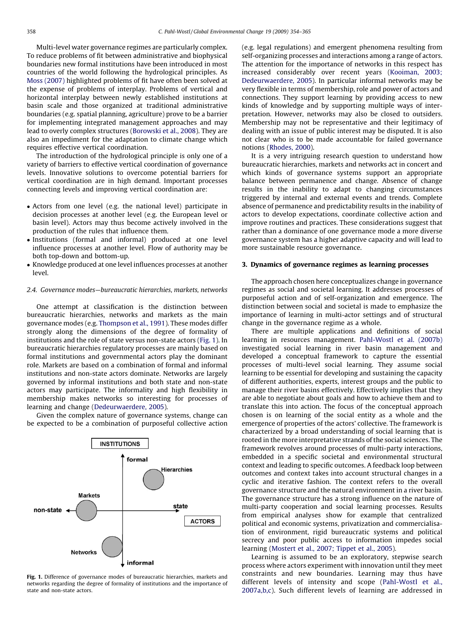<span id="page-4-0"></span>Multi-level water governance regimes are particularly complex. To reduce problems of fit between administrative and biophysical boundaries new formal institutions have been introduced in most countries of the world following the hydrological principles. As [Moss \(2007\)](#page-10-0) highlighted problems of fit have often been solved at the expense of problems of interplay. Problems of vertical and horizontal interplay between newly established institutions at basin scale and those organized at traditional administrative boundaries (e.g. spatial planning, agriculture) prove to be a barrier for implementing integrated management approaches and may lead to overly complex structures [\(Borowski et al., 2008](#page-9-0)). They are also an impediment for the adaptation to climate change which requires effective vertical coordination.

The introduction of the hydrological principle is only one of a variety of barriers to effective vertical coordination of governance levels. Innovative solutions to overcome potential barriers for vertical coordination are in high demand. Important processes connecting levels and improving vertical coordination are:

- Actors from one level (e.g. the national level) participate in decision processes at another level (e.g. the European level or basin level). Actors may thus become actively involved in the production of the rules that influence them.
- Institutions (formal and informal) produced at one level influence processes at another level. Flow of authority may be both top-down and bottom-up.
- Knowledge produced at one level influences processes at another level.

#### 2.4. Governance modes—bureaucratic hierarchies, markets, networks

One attempt at classification is the distinction between bureaucratic hierarchies, networks and markets as the main governance modes (e.g. [Thompson et al., 1991\)](#page-11-0). These modes differ strongly along the dimensions of the degree of formality of institutions and the role of state versus non-state actors (Fig. 1). In bureaucratic hierarchies regulatory processes are mainly based on formal institutions and governmental actors play the dominant role. Markets are based on a combination of formal and informal institutions and non-state actors dominate. Networks are largely governed by informal institutions and both state and non-state actors may participate. The informality and high flexibility in membership makes networks so interesting for processes of learning and change ([Dedeurwaerdere, 2005](#page-9-0)).

Given the complex nature of governance systems, change can be expected to be a combination of purposeful collective action



Fig. 1. Difference of governance modes of bureaucratic hierarchies, markets and networks regarding the degree of formality of institutions and the importance of state and non-state actors.

(e.g. legal regulations) and emergent phenomena resulting from self-organizing processes and interactions among a range of actors. The attention for the importance of networks in this respect has increased considerably over recent years [\(Kooiman, 2003;](#page-10-0) [Dedeurwaerdere, 2005\)](#page-10-0). In particular informal networks may be very flexible in terms of membership, role and power of actors and connections. They support learning by providing access to new kinds of knowledge and by supporting multiple ways of interpretation. However, networks may also be closed to outsiders. Membership may not be representative and their legitimacy of dealing with an issue of public interest may be disputed. It is also not clear who is to be made accountable for failed governance notions [\(Rhodes, 2000\)](#page-10-0).

It is a very intriguing research question to understand how bureaucratic hierarchies, markets and networks act in concert and which kinds of governance systems support an appropriate balance between permanence and change. Absence of change results in the inability to adapt to changing circumstances triggered by internal and external events and trends. Complete absence of permanence and predictability results in the inability of actors to develop expectations, coordinate collective action and improve routines and practices. These considerations suggest that rather than a dominance of one governance mode a more diverse governance system has a higher adaptive capacity and will lead to more sustainable resource governance.

#### 3. Dynamics of governance regimes as learning processes

The approach chosen here conceptualizes change in governance regimes as social and societal learning. It addresses processes of purposeful action and of self-organization and emergence. The distinction between social and societal is made to emphasize the importance of learning in multi-actor settings and of structural change in the governance regime as a whole.

There are multiple applications and definitions of social learning in resources management. [Pahl-Wostl et al. \(2007b\)](#page-10-0) investigated social learning in river basin management and developed a conceptual framework to capture the essential processes of multi-level social learning. They assume social learning to be essential for developing and sustaining the capacity of different authorities, experts, interest groups and the public to manage their river basins effectively. Effectively implies that they are able to negotiate about goals and how to achieve them and to translate this into action. The focus of the conceptual approach chosen is on learning of the social entity as a whole and the emergence of properties of the actors' collective. The framework is characterized by a broad understanding of social learning that is rooted in the more interpretative strands of the social sciences. The framework revolves around processes of multi-party interactions, embedded in a specific societal and environmental structural context and leading to specific outcomes. A feedback loop between outcomes and context takes into account structural changes in a cyclic and iterative fashion. The context refers to the overall governance structure and the natural environment in a river basin. The governance structure has a strong influence on the nature of multi-party cooperation and social learning processes. Results from empirical analyses show for example that centralized political and economic systems, privatization and commercialisation of environment, rigid bureaucratic systems and political secrecy and poor public access to information impedes social learning [\(Mostert et al., 2007; Tippet et al., 2005](#page-10-0)).

Learning is assumed to be an exploratory, stepwise search process where actors experiment with innovation until they meet constraints and new boundaries. Learning may thus have different levels of intensity and scope [\(Pahl-Wostl et al.,](#page-10-0) [2007a,b,c\)](#page-10-0). Such different levels of learning are addressed in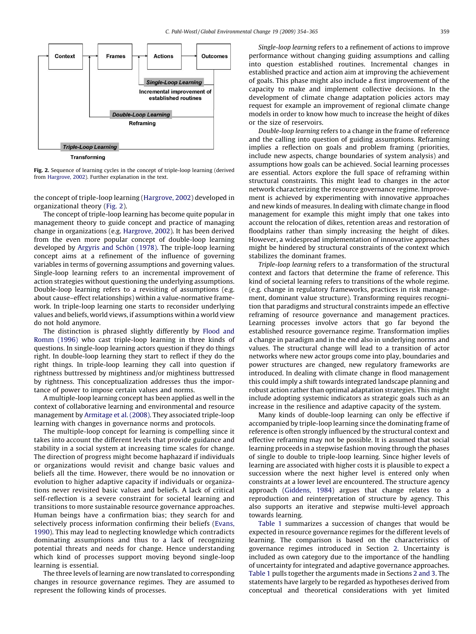

**Transforming** 

Fig. 2. Sequence of learning cycles in the concept of triple-loop learning (derived from [Hargrove, 2002\)](#page-10-0). Further explanation in the text.

the concept of triple-loop learning ([Hargrove, 2002](#page-10-0)) developed in organizational theory (Fig. 2).

The concept of triple-loop learning has become quite popular in management theory to guide concept and practice of managing change in organizations (e.g. [Hargrove, 2002\)](#page-10-0). It has been derived from the even more popular concept of double-loop learning developed by Argyris and Schön (1978). The triple-loop learning concept aims at a refinement of the influence of governing variables in terms of governing assumptions and governing values. Single-loop learning refers to an incremental improvement of action strategies without questioning the underlying assumptions. Double-loop learning refers to a revisiting of assumptions (e.g. about cause–effect relationships) within a value-normative framework. In triple-loop learning one starts to reconsider underlying values and beliefs, world views, if assumptions within a world view do not hold anymore.

The distinction is phrased slightly differently by [Flood and](#page-9-0) [Romm \(1996\)](#page-9-0) who cast triple-loop learning in three kinds of questions. In single-loop learning actors question if they do things right. In double-loop learning they start to reflect if they do the right things. In triple-loop learning they call into question if rightness buttressed by mightiness and/or mightiness buttressed by rightness. This conceptualization addresses thus the importance of power to impose certain values and norms.

A multiple-loop learning concept has been applied as well in the context of collaborative learning and environmental and resource management by [Armitage et al. \(2008\).](#page-9-0) They associated triple-loop learning with changes in governance norms and protocols.

The multiple-loop concept for learning is compelling since it takes into account the different levels that provide guidance and stability in a social system at increasing time scales for change. The direction of progress might become haphazard if individuals or organizations would revisit and change basic values and beliefs all the time. However, there would be no innovation or evolution to higher adaptive capacity if individuals or organizations never revisited basic values and beliefs. A lack of critical self-reflection is a severe constraint for societal learning and transitions to more sustainable resource governance approaches. Human beings have a confirmation bias; they search for and selectively process information confirming their beliefs ([Evans,](#page-9-0) [1990](#page-9-0)). This may lead to neglecting knowledge which contradicts dominating assumptions and thus to a lack of recognizing potential threats and needs for change. Hence understanding which kind of processes support moving beyond single-loop learning is essential.

The three levels of learning are now translated to corresponding changes in resource governance regimes. They are assumed to represent the following kinds of processes.

Single-loop learning refers to a refinement of actions to improve performance without changing guiding assumptions and calling into question established routines. Incremental changes in established practice and action aim at improving the achievement of goals. This phase might also include a first improvement of the capacity to make and implement collective decisions. In the development of climate change adaptation policies actors may request for example an improvement of regional climate change models in order to know how much to increase the height of dikes or the size of reservoirs.

Double-loop learning refers to a change in the frame of reference and the calling into question of guiding assumptions. Reframing implies a reflection on goals and problem framing (priorities, include new aspects, change boundaries of system analysis) and assumptions how goals can be achieved. Social learning processes are essential. Actors explore the full space of reframing within structural constraints. This might lead to changes in the actor network characterizing the resource governance regime. Improvement is achieved by experimenting with innovative approaches and new kinds of measures. In dealing with climate change in flood management for example this might imply that one takes into account the relocation of dikes, retention areas and restoration of floodplains rather than simply increasing the height of dikes. However, a widespread implementation of innovative approaches might be hindered by structural constraints of the context which stabilizes the dominant frames.

Triple-loop learning refers to a transformation of the structural context and factors that determine the frame of reference. This kind of societal learning refers to transitions of the whole regime. (e.g. change in regulatory frameworks, practices in risk management, dominant value structure). Transforming requires recognition that paradigms and structural constraints impede an effective reframing of resource governance and management practices. Learning processes involve actors that go far beyond the established resource governance regime. Transformation implies a change in paradigm and in the end also in underlying norms and values. The structural change will lead to a transition of actor networks where new actor groups come into play, boundaries and power structures are changed, new regulatory frameworks are introduced. In dealing with climate change in flood management this could imply a shift towards integrated landscape planning and robust action rather than optimal adaptation strategies. This might include adopting systemic indicators as strategic goals such as an increase in the resilience and adaptive capacity of the system.

Many kinds of double-loop learning can only be effective if accompanied by triple-loop learning since the dominating frame of reference is often strongly influenced by the structural context and effective reframing may not be possible. It is assumed that social learning proceeds in a stepwise fashion moving through the phases of single to double to triple-loop learning. Since higher levels of learning are associated with higher costs it is plausible to expect a succession where the next higher level is entered only when constraints at a lower level are encountered. The structure agency approach [\(Giddens, 1984](#page-10-0)) argues that change relates to a reproduction and reinterpretation of structure by agency. This also supports an iterative and stepwise multi-level approach towards learning.

[Table 1](#page-6-0) summarizes a succession of changes that would be expected in resource governance regimes for the different levels of learning. The comparison is based on the characteristics of governance regimes introduced in Section [2](#page-1-0). Uncertainty is included as own category due to the importance of the handling of uncertainty for integrated and adaptive governance approaches. [Table 1](#page-6-0) pulls together the arguments made in Sections [2 and 3.](#page-1-0) The statements have largely to be regarded as hypotheses derived from conceptual and theoretical considerations with yet limited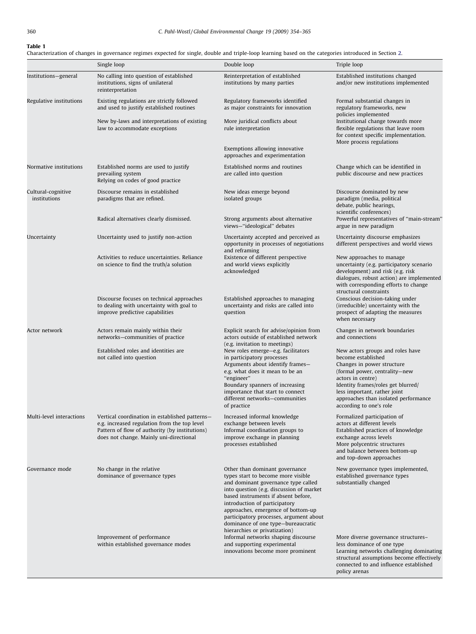### <span id="page-6-0"></span>Table 1

Characterization of changes in governance regimes expected for single, double and triple-loop learning based on the categories introduced in Section [2](#page-1-0).

|                                    | Single loop                                                                                                                                                                                 | Double loop                                                                                                                                                                                                                                                                                                                                                                             | Triple loop                                                                                                                                                                                                                                                                         |
|------------------------------------|---------------------------------------------------------------------------------------------------------------------------------------------------------------------------------------------|-----------------------------------------------------------------------------------------------------------------------------------------------------------------------------------------------------------------------------------------------------------------------------------------------------------------------------------------------------------------------------------------|-------------------------------------------------------------------------------------------------------------------------------------------------------------------------------------------------------------------------------------------------------------------------------------|
| Institutions-general               | No calling into question of established<br>institutions, signs of unilateral<br>reinterpretation                                                                                            | Reinterpretation of established<br>institutions by many parties                                                                                                                                                                                                                                                                                                                         | Established institutions changed<br>and/or new institutions implemented                                                                                                                                                                                                             |
| Regulative institutions            | Existing regulations are strictly followed<br>and used to justify established routines                                                                                                      | Regulatory frameworks identified<br>as major constraints for innovation                                                                                                                                                                                                                                                                                                                 | Formal substantial changes in<br>regulatory frameworks, new<br>policies implemented                                                                                                                                                                                                 |
|                                    | New by-laws and interpretations of existing<br>law to accommodate exceptions                                                                                                                | More juridical conflicts about<br>rule interpretation                                                                                                                                                                                                                                                                                                                                   | Institutional change towards more<br>flexible regulations that leave room<br>for context specific implementation.<br>More process regulations                                                                                                                                       |
|                                    |                                                                                                                                                                                             | Exemptions allowing innovative<br>approaches and experimentation                                                                                                                                                                                                                                                                                                                        |                                                                                                                                                                                                                                                                                     |
| Normative institutions             | Established norms are used to justify<br>prevailing system<br>Relying on codes of good practice                                                                                             | Established norms and routines<br>are called into question                                                                                                                                                                                                                                                                                                                              | Change which can be identified in<br>public discourse and new practices                                                                                                                                                                                                             |
| Cultural-cognitive<br>institutions | Discourse remains in established<br>paradigms that are refined.                                                                                                                             | New ideas emerge beyond<br>isolated groups                                                                                                                                                                                                                                                                                                                                              | Discourse dominated by new<br>paradigm (media, political<br>debate, public hearings,<br>scientific conferences)                                                                                                                                                                     |
|                                    | Radical alternatives clearly dismissed.                                                                                                                                                     | Strong arguments about alternative<br>views-"ideological" debates                                                                                                                                                                                                                                                                                                                       | Powerful representatives of "main-stream"<br>argue in new paradigm                                                                                                                                                                                                                  |
| Uncertainty                        | Uncertainty used to justify non-action                                                                                                                                                      | Uncertainty accepted and perceived as<br>opportunity in processes of negotiations                                                                                                                                                                                                                                                                                                       | Uncertainty discourse emphasizes<br>different perspectives and world views                                                                                                                                                                                                          |
|                                    | Activities to reduce uncertainties. Reliance<br>on science to find the truth/a solution                                                                                                     | and reframing<br>Existence of different perspective<br>and world views explicitly<br>acknowledged                                                                                                                                                                                                                                                                                       | New approaches to manage<br>uncertainty (e.g. participatory scenario<br>development) and risk (e.g. risk<br>dialogues, robust action) are implemented<br>with corresponding efforts to change<br>structural constraints                                                             |
|                                    | Discourse focuses on technical approaches<br>to dealing with uncertainty with goal to<br>improve predictive capabilities                                                                    | Established approaches to managing<br>uncertainty and risks are called into<br>question                                                                                                                                                                                                                                                                                                 | Conscious decision-taking under<br>(irreducible) uncertainty with the<br>prospect of adapting the measures<br>when necessary                                                                                                                                                        |
| Actor network                      | Actors remain mainly within their<br>networks-communities of practice                                                                                                                       | Explicit search for advise/opinion from<br>actors outside of established network                                                                                                                                                                                                                                                                                                        | Changes in network boundaries<br>and connections                                                                                                                                                                                                                                    |
|                                    | Established roles and identities are<br>not called into question                                                                                                                            | (e.g. invitation to meetings)<br>New roles emerge-e.g. facilitators<br>in participatory processes<br>Arguments about identify frames-<br>e.g. what does it mean to be an<br>"engineer"<br>Boundary spanners of increasing<br>importance that start to connect<br>different networks-communities<br>of practice                                                                          | New actors groups and roles have<br>become established<br>Changes in power structure<br>(formal power, centrality-new<br>actors in centre)<br>Identity frames/roles get blurred/<br>less important, rather joint<br>approaches than isolated performance<br>according to one's role |
| Multi-level interactions           | Vertical coordination in established patterns-<br>e.g. increased regulation from the top level<br>Pattern of flow of authority (by institutions)<br>does not change. Mainly uni-directional | Increased informal knowledge<br>exchange between levels<br>Informal coordination groups to<br>improve exchange in planning<br>processes established                                                                                                                                                                                                                                     | Formalized participation of<br>actors at different levels<br>Established practices of knowledge<br>exchange across levels<br>More polycentric structures<br>and balance between bottom-up<br>and top-down approaches                                                                |
| Governance mode                    | No change in the relative<br>dominance of governance types                                                                                                                                  | Other than dominant governance<br>types start to become more visible<br>and dominant governance type called<br>into question (e.g. discussion of market<br>based instruments if absent before,<br>introduction of participatory<br>approaches, emergence of bottom-up<br>participatory processes, argument about<br>dominance of one type-bureaucratic<br>hierarchies or privatization) | New governance types implemented,<br>established governance types<br>substantially changed                                                                                                                                                                                          |
|                                    | Improvement of performance<br>within established governance modes                                                                                                                           | Informal networks shaping discourse<br>and supporting experimental<br>innovations become more prominent                                                                                                                                                                                                                                                                                 | More diverse governance structures-<br>less dominance of one type<br>Learning networks challenging dominating<br>structural assumptions become effectively<br>connected to and influence established                                                                                |

policy arenas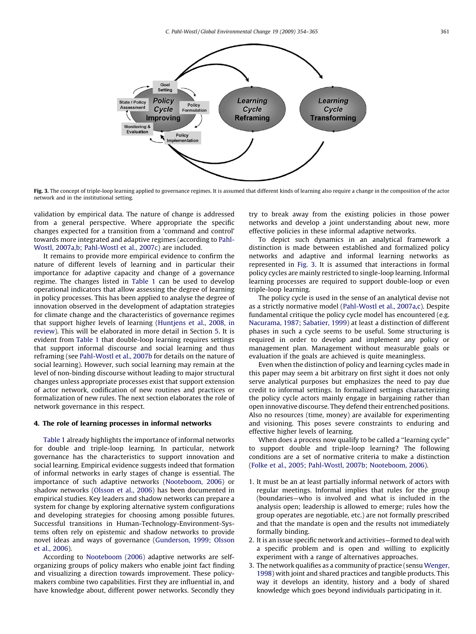<span id="page-7-0"></span>

Fig. 3. The concept of triple-loop learning applied to governance regimes. It is assumed that different kinds of learning also require a change in the composition of the actor network and in the institutional setting.

validation by empirical data. The nature of change is addressed from a general perspective. Where appropriate the specific changes expected for a transition from a 'command and control' towards more integrated and adaptive regimes (according to [Pahl-](#page-10-0)[Wostl, 2007a,b; Pahl-Wostl et al., 2007c\)](#page-10-0) are included.

It remains to provide more empirical evidence to confirm the nature of different levels of learning and in particular their importance for adaptive capacity and change of a governance regime. The changes listed in [Table 1](#page-6-0) can be used to develop operational indicators that allow assessing the degree of learning in policy processes. This has been applied to analyse the degree of innovation observed in the development of adaptation strategies for climate change and the characteristics of governance regimes that support higher levels of learning ([Huntjens et al., 2008, in](#page-10-0) [review\)](#page-10-0). This will be elaborated in more detail in Section [5.](#page-8-0) It is evident from [Table 1](#page-6-0) that double-loop learning requires settings that support informal discourse and social learning and thus reframing (see [Pahl-Wostl et al., 2007b](#page-10-0) for details on the nature of social learning). However, such social learning may remain at the level of non-binding discourse without leading to major structural changes unless appropriate processes exist that support extension of actor network, codification of new routines and practices or formalization of new rules. The next section elaborates the role of network governance in this respect.

#### 4. The role of learning processes in informal networks

[Table 1](#page-6-0) already highlights the importance of informal networks for double and triple-loop learning. In particular, network governance has the characteristics to support innovation and social learning. Empirical evidence suggests indeed that formation of informal networks in early stages of change is essential. The importance of such adaptive networks [\(Nooteboom, 2006\)](#page-10-0) or shadow networks ([Olsson et al., 2006](#page-10-0)) has been documented in empirical studies. Key leaders and shadow networks can prepare a system for change by exploring alternative system configurations and developing strategies for choosing among possible futures. Successful transitions in Human-Technology-Environment-Systems often rely on epistemic and shadow networks to provide novel ideas and ways of governance [\(Gunderson, 1999; Olsson](#page-10-0) [et al., 2006](#page-10-0)).

According to [Nooteboom \(2006\)](#page-10-0) adaptive networks are selforganizing groups of policy makers who enable joint fact finding and visualizing a direction towards improvement. These policymakers combine two capabilities. First they are influential in, and have knowledge about, different power networks. Secondly they try to break away from the existing policies in those power networks and develop a joint understanding about new, more effective policies in these informal adaptive networks.

To depict such dynamics in an analytical framework a distinction is made between established and formalized policy networks and adaptive and informal learning networks as represented in Fig. 3. It is assumed that interactions in formal policy cycles are mainly restricted to single-loop learning. Informal learning processes are required to support double-loop or even triple-loop learning.

The policy cycle is used in the sense of an analytical devise not as a strictly normative model [\(Pahl-Wostl et al., 2007a,c](#page-10-0)). Despite fundamental critique the policy cycle model has encountered (e.g. [Nacurama, 1987; Sabatier, 1999](#page-10-0)) at least a distinction of different phases in such a cycle seems to be useful. Some structuring is required in order to develop and implement any policy or management plan. Management without measurable goals or evaluation if the goals are achieved is quite meaningless.

Even when the distinction of policy and learning cycles made in this paper may seem a bit arbitrary on first sight it does not only serve analytical purposes but emphasizes the need to pay due credit to informal settings. In formalized settings characterizing the policy cycle actors mainly engage in bargaining rather than open innovative discourse. They defend their entrenched positions. Also no resources (time, money) are available for experimenting and visioning. This poses severe constraints to enduring and effective higher levels of learning.

When does a process now qualify to be called a ''learning cycle'' to support double and triple-loop learning? The following conditions are a set of normative criteria to make a distinction ([Folke et al., 2005; Pahl-Wostl, 2007b; Nooteboom, 2006](#page-9-0)).

- 1. It must be an at least partially informal network of actors with regular meetings. Informal implies that rules for the group (boundaries—who is involved and what is included in the analysis open; leadership is allowed to emerge; rules how the group operates are negotiable, etc.) are not formally prescribed and that the mandate is open and the results not immediately formally binding.
- 2. It is an issue specific network and activities—formed to deal with a specific problem and is open and willing to explicitly experiment with a range of alternatives approaches.
- 3. The network qualifies as a community of practice (sensu [Wenger,](#page-11-0) [1998](#page-11-0)) with joint and shared practices and tangible products. This way it develops an identity, history and a body of shared knowledge which goes beyond individuals participating in it.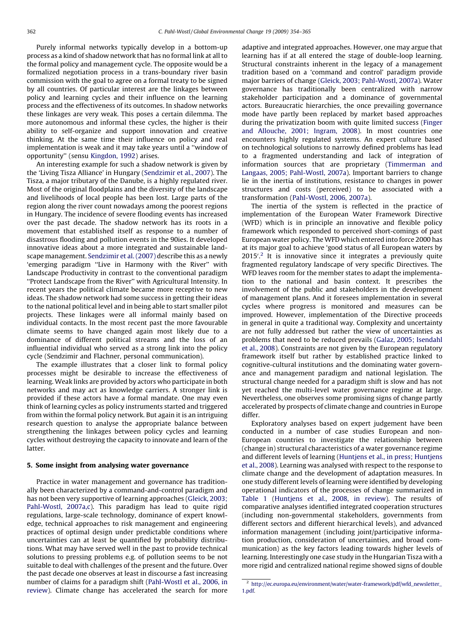<span id="page-8-0"></span>Purely informal networks typically develop in a bottom-up process as a kind of shadow network that has no formal link at all to the formal policy and management cycle. The opposite would be a formalized negotiation process in a trans-boundary river basin commission with the goal to agree on a formal treaty to be signed by all countries. Of particular interest are the linkages between policy and learning cycles and their influence on the learning process and the effectiveness of its outcomes. In shadow networks these linkages are very weak. This poses a certain dilemma. The more autonomous and informal these cycles, the higher is their ability to self-organize and support innovation and creative thinking. At the same time their influence on policy and real implementation is weak and it may take years until a ''window of opportunity'' (sensu [Kingdon, 1992\)](#page-10-0) arises.

An interesting example for such a shadow network is given by the 'Living Tisza Alliance' in Hungary ([Sendzimir et al., 2007](#page-10-0)). The Tisza, a major tributary of the Danube, is a highly regulated river. Most of the original floodplains and the diversity of the landscape and livelihoods of local people has been lost. Large parts of the region along the river count nowadays among the poorest regions in Hungary. The incidence of severe flooding events has increased over the past decade. The shadow network has its roots in a movement that established itself as response to a number of disastrous flooding and pollution events in the 90ies. It developed innovative ideas about a more integrated and sustainable landscape management. [Sendzimir et al. \(2007\)](#page-10-0) describe this as a newly 'emerging paradigm ''Live in Harmony with the River'' with Landscape Productivity in contrast to the conventional paradigm ''Protect Landscape from the River'' with Agricultural Intensity. In recent years the political climate became more receptive to new ideas. The shadow network had some success in getting their ideas to the national political level and in being able to start smaller pilot projects. These linkages were all informal mainly based on individual contacts. In the most recent past the more favourable climate seems to have changed again most likely due to a dominance of different political streams and the loss of an influential individual who served as a strong link into the policy cycle (Sendzimir and Flachner, personal communication).

The example illustrates that a closer link to formal policy processes might be desirable to increase the effectiveness of learning. Weak links are provided by actors who participate in both networks and may act as knowledge carriers. A stronger link is provided if these actors have a formal mandate. One may even think of learning cycles as policy instruments started and triggered from within the formal policy network. But again it is an intriguing research question to analyse the appropriate balance between strengthening the linkages between policy cycles and learning cycles without destroying the capacity to innovate and learn of the latter.

#### 5. Some insight from analysing water governance

Practice in water management and governance has traditionally been characterized by a command-and-control paradigm and has not been very supportive of learning approaches [\(Gleick, 2003;](#page-10-0) [Pahl-Wostl, 2007a,c](#page-10-0)). This paradigm has lead to quite rigid regulations, large-scale technology, dominance of expert knowledge, technical approaches to risk management and engineering practices of optimal design under predictable conditions where uncertainties can at least be quantified by probability distributions. What may have served well in the past to provide technical solutions to pressing problems e.g. of pollution seems to be not suitable to deal with challenges of the present and the future. Over the past decade one observes at least in discourse a fast increasing number of claims for a paradigm shift [\(Pahl-Wostl et al., 2006, in](#page-10-0) [review\)](#page-10-0). Climate change has accelerated the search for more adaptive and integrated approaches. However, one may argue that learning has if at all entered the stage of double-loop learning. Structural constraints inherent in the legacy of a management tradition based on a 'command and control' paradigm provide major barriers of change [\(Gleick, 2003; Pahl-Wostl, 2007a\)](#page-10-0). Water governance has traditionally been centralized with narrow stakeholder participation and a dominance of governmental actors. Bureaucratic hierarchies, the once prevailing governance mode have partly been replaced by market based approaches during the privatization boom with quite limited success ([Finger](#page-9-0) [and Allouche, 2001; Ingram, 2008\)](#page-9-0). In most countries one encounters highly regulated systems. An expert culture based on technological solutions to narrowly defined problems has lead to a fragmented understanding and lack of integration of information sources that are proprietary [\(Timmerman and](#page-11-0) [Langaas, 2005; Pahl-Wostl, 2007a\)](#page-11-0). Important barriers to change lie in the inertia of institutions, resistance to changes in power structures and costs (perceived) to be associated with a transformation [\(Pahl-Wostl, 2006, 2007a](#page-10-0)).

The inertia of the system is reflected in the practice of implementation of the European Water Framework Directive (WFD) which is in principle an innovative and flexible policy framework which responded to perceived short-comings of past European water policy. The WFD which entered into force 2000 has at its major goal to achieve 'good status of all European waters by  $2015'^2$  It is innovative since it integrates a previously quite fragmented regulatory landscape of very specific Directives. The WFD leaves room for the member states to adapt the implementation to the national and basin context. It prescribes the involvement of the public and stakeholders in the development of management plans. And it foresees implementation in several cycles where progress is monitored and measures can be improved. However, implementation of the Directive proceeds in general in quite a traditional way. Complexity and uncertainty are not fully addressed but rather the view of uncertainties as problems that need to be reduced prevails [\(Galaz, 2005; Isendahl](#page-9-0) [et al., 2008](#page-9-0)). Constraints are not given by the European regulatory framework itself but rather by established practice linked to cognitive-cultural institutions and the dominating water governance and management paradigm and national legislation. The structural change needed for a paradigm shift is slow and has not yet reached the multi-level water governance regime at large. Nevertheless, one observes some promising signs of change partly accelerated by prospects of climate change and countries in Europe differ.

Exploratory analyses based on expert judgement have been conducted in a number of case studies European and non-European countries to investigate the relationship between (change in) structural characteristics of a water governance regime and different levels of learning ([Huntjens et al., in press; Huntjens](#page-10-0) [et al., 2008\)](#page-10-0). Learning was analysed with respect to the response to climate change and the development of adaptation measures. In one study different levels of learning were identified by developing operational indicators of the processes of change summarized in [Table 1](#page-6-0) ([Huntjens et al., 2008, in review\)](#page-10-0). The results of comparative analyses identified integrated cooperation structures (including non-governmental stakeholders, governments from different sectors and different hierarchical levels), and advanced information management (including joint/participative information production, consideration of uncertainties, and broad communication) as the key factors leading towards higher levels of learning. Interestingly one case study in the Hungarian Tisza with a more rigid and centralized national regime showed signs of double

<sup>2</sup> [http://ec.europa.eu/environment/water/water-framework/pdf/wfd\\_newsletter\\_](http://ec.europa.eu/environment/water/water-framework/pdf/wfd_newsletter_1.pdf) [1.pdf.](http://ec.europa.eu/environment/water/water-framework/pdf/wfd_newsletter_1.pdf)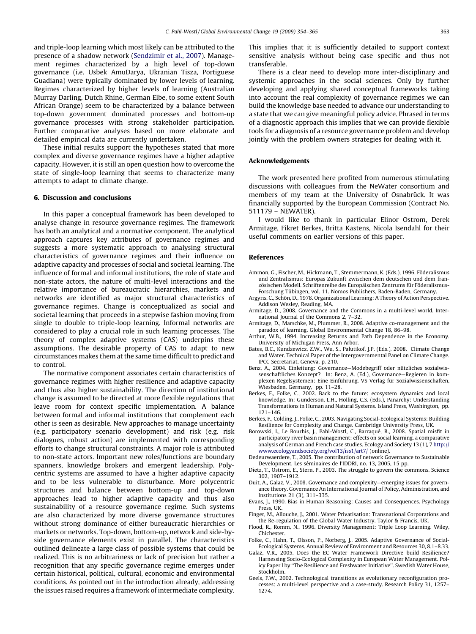<span id="page-9-0"></span>and triple-loop learning which most likely can be attributed to the presence of a shadow network [\(Sendzimir et al., 2007](#page-10-0)). Management regimes characterized by a high level of top-down governance (i.e. Usbek AmuDarya, Ukranian Tisza, Portiguese Guadiana) were typically dominated by lower levels of learning. Regimes characterized by higher levels of learning (Australian Murray Darling, Dutch Rhine, German Elbe, to some extent South African Orange) seem to be characterized by a balance between top-down government dominated processes and bottom-up governance processes with strong stakeholder participation. Further comparative analyses based on more elaborate and detailed empirical data are currently undertaken.

These initial results support the hypotheses stated that more complex and diverse governance regimes have a higher adaptive capacity. However, it is still an open question how to overcome the state of single-loop learning that seems to characterize many attempts to adapt to climate change.

#### 6. Discussion and conclusions

In this paper a conceptual framework has been developed to analyse change in resource governance regimes. The framework has both an analytical and a normative component. The analytical approach captures key attributes of governance regimes and suggests a more systematic approach to analysing structural characteristics of governance regimes and their influence on adaptive capacity and processes of social and societal learning. The influence of formal and informal institutions, the role of state and non-state actors, the nature of multi-level interactions and the relative importance of bureaucratic hierarchies, markets and networks are identified as major structural characteristics of governance regimes. Change is conceptualized as social and societal learning that proceeds in a stepwise fashion moving from single to double to triple-loop learning. Informal networks are considered to play a crucial role in such learning processes. The theory of complex adaptive systems (CAS) underpins these assumptions. The desirable property of CAS to adapt to new circumstances makes them at the same time difficult to predict and to control.

The normative component associates certain characteristics of governance regimes with higher resilience and adaptive capacity and thus also higher sustainability. The direction of institutional change is assumed to be directed at more flexible regulations that leave room for context specific implementation. A balance between formal and informal institutions that complement each other is seen as desirable. New approaches to manage uncertainty (e.g. participatory scenario development) and risk (e.g. risk dialogues, robust action) are implemented with corresponding efforts to change structural constraints. A major role is attributed to non-state actors. Important new roles/functions are boundary spanners, knowledge brokers and emergent leadership. Polycentric systems are assumed to have a higher adaptive capacity and to be less vulnerable to disturbance. More polycentric structures and balance between bottom-up and top-down approaches lead to higher adaptive capacity and thus also sustainability of a resource governance regime. Such systems are also characterized by more diverse governance structures without strong dominance of either bureaucratic hierarchies or markets or networks. Top-down, bottom-up, network and side-byside governance elements exist in parallel. The characteristics outlined delineate a large class of possible systems that could be realized. This is no arbitrariness or lack of precision but rather a recognition that any specific governance regime emerges under certain historical, political, cultural, economic and environmental conditions. As pointed out in the introduction already, addressing the issues raised requires a framework of intermediate complexity.

This implies that it is sufficiently detailed to support context sensitive analysis without being case specific and thus not transferable.

There is a clear need to develop more inter-disciplinary and systemic approaches in the social sciences. Only by further developing and applying shared conceptual frameworks taking into account the real complexity of governance regimes we can build the knowledge base needed to advance our understanding to a state that we can give meaningful policy advice. Phrased in terms of a diagnostic approach this implies that we can provide flexible tools for a diagnosis of a resource governance problem and develop jointly with the problem owners strategies for dealing with it.

## Acknowledgements

The work presented here profited from numerous stimulating discussions with colleagues from the NeWater consortium and members of my team at the University of Osnabrück. It was financially supported by the European Commission (Contract No. 511179 – NEWATER).

I would like to thank in particular Elinor Ostrom, Derek Armitage, Fikret Berkes, Britta Kastens, Nicola Isendahl for their useful comments on earlier versions of this paper.

#### References

- Ammon, G., Fischer, M., Hickmann, T., Stemmermann, K. (Eds.), 1996. Föderalismus und Zentralismus: Europas Zukunft zwischen dem deutschen und dem französischen Modell. Schriftenreihe des Europäischen Zentrums für Föderalismus-Forschung Tübingen, vol. 11. Nomos Publishers, Baden-Baden, Germany.
- Argyris, C., Schön, D., 1978. Organizational Learning: A Theory of Action Perspective. Addison Wesley, Reading, MA.
- Armitage, D., 2008. Governance and the Commons in a multi-level world. International Journal of the Commons 2, 7-32.
- Armitage, D., Marschke, M., Plummer, R., 2008. Adaptive co-management and the paradox of learning. Global Environmental Change 18, 86–98.
- Arthur, W.B., 1994. Increasing Returns and Path Dependence in the Economy. University of Michigan Press, Ann Arbor.
- Bates, B.C., Kundzewicz, Z.W., Wu, S., Palutikof, J.P. (Eds.), 2008. Climate Change and Water. Technical Paper of the Intergovernmental Panel on Climate Change. IPCC Secretariat, Geneva, p. 210.
- Benz, A., 2004. Einleitung: Governance—Modebegriff oder nützliches sozialwissenschaftliches Konzept? In: Benz, A. (Ed.), Governance—Regieren in komplexen Regelsystemen: Eine Einführung. VS Verlag für Sozialwissenschaften, Wiesbaden, Germany, pp. 11–28.
- Berkes, F., Folke, C., 2002. Back to the future: ecosystem dynamics and local knowledge. In: Gunderson, L.H., Holling, C.S. (Eds.), Panarchy: Understanding Transformations in Human and Natural Systems. Island Press, Washington, pp. 121–146.
- Berkes, F., Colding, J., Folke, C., 2003. Navigating Social-Ecological Systems: Building Resilience for Complexity and Change. Cambridge University Press, UK.
- Borowski, I., Le Bourhis, J., Pahl-Wostl, C., Barraqué, B., 2008. Spatial misfit in participatory river basin management: effects on social learning. a comparative analysis of German and French case studies. Ecology and Society 13 (1), 7 [http://](http://www.ecologyandsociety.org/vol13/iss1/art7/) [www.ecologyandsociety.org/vol13/iss1/art7/](http://www.ecologyandsociety.org/vol13/iss1/art7/) (online).
- Dedeurwaerdere, T., 2005. The contribution of network Governance to Sustainable Development. Les séminaires de l'IDDRI, no. 13, 2005, 15 pp.
- Dietz, T., Ostrom, E., Stern, P., 2003. The struggle to govern the commons. Science 302, 1907–1912.
- Duit, A., Galaz, V., 2008. Governance and complexity—emerging issues for governance theory. Governance An International Journal of Policy, Administration, and Institutions 21 (3), 311–335.
- Evans, J., 1990. Bias in Human Reasoning: Causes and Consequences. Psychology Press, UK.
- Finger, M., Allouche, J., 2001. Water Privatisation: Transnational Corporations and the Re-regulation of the Global Water Industry. Taylor & Francis, UK.
- Flood, R., Romm, N., 1996. Diversity Management: Triple Loop Learning. Wiley, Chichester.
- Folke, C., Hahn, T., Olsson, P., Norberg, J., 2005. Adaptive Governance of Social-Ecological Systems. Annual Review of Environment and Resources 30, 8.1–8.33.
- Galaz, V.R., 2005. Does the EC Water Framework Directive build Resilience? Harnessing Socio-Ecological Complexity in European Water Management. Policy Paper I by ''The Resilience and Freshwater Initiative''. Swedish Water House, Stockholm.
- Geels, F.W., 2002. Technological transitions as evolutionary reconfiguration processes: a multi-level perspective and a case-study. Research Policy 31, 1257– 1274.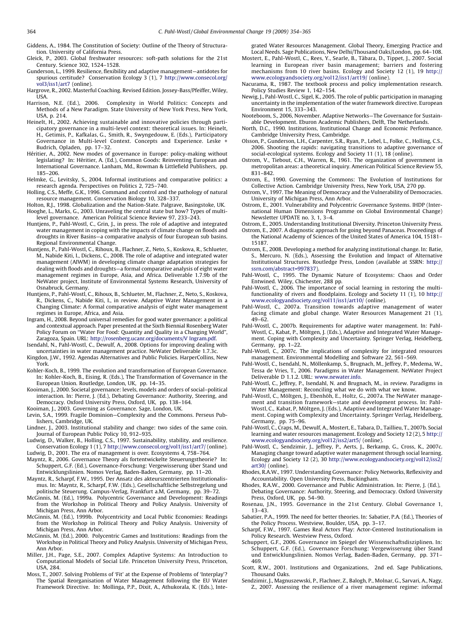<span id="page-10-0"></span>Giddens, A., 1984. The Constitution of Society: Outline of the Theory of Structuration. University of California Press.

Gleick, P., 2003. Global freshwater resources: soft-path solutions for the 21st Century. Science 302, 1524–1528.

Gunderson, L., 1999. Resilience, flexibility and adaptive management—antidotes for spurious certitude? Conservation Ecology 3 (1), 7 [http://www.consecol.org/](http://www.consecol.org/vol3/iss1/art7) [vol3/iss1/art7](http://www.consecol.org/vol3/iss1/art7) (online).

Hargrove, R., 2002. Masterful Coaching. Revised Edition. Jossey-Bass/Pfeiffer, Wiley, USA.

- Harrison, N.E. (Ed.), 2006. Complexity in World Politics: Concepts and Methods of a New Paradigm. State University of New York Press, New York, USA, p. 214.
- Heinelt, H., 2002. Achieving sustainable and innovative policies through participatory governance in a multi-level context: theoretical issues. In: Heinelt, H., Getimis, P., Kafkalas, G., Smith, R., Swyngedouw, E. (Eds.), Participatory Governance in Multi-level Context. Concepts and Experience. Leske + Budrich, Opladen, pp. 17–32.
- Héritier, A., 2002. New modes of governance in Europe: policy-making without legislating? In: Héritier, A. (Ed.), Common Goods: Reinventing European and International Governance. Lanham, Md., Rowman & Littlefield Publishers, pp. 185–206.
- Helmke, G., Levitsky, S., 2004. Informal institutions and comparative politics: a research agenda. Perspectives on Politics 2, 725–740.
- Holling, C.S., Meffe, G.K., 1996. Command and control and the pathology of natural resource management. Conservation Biology 10, 328–337.
- Holton, R.J., 1998. Globalization and the Nation-State. Palgrave, Basingstoke, UK. Hooghe, L., Marks, G., 2003. Unraveling the central state but how? Types of multilevel governance. American Political Science Review 97, 233–243.
- Huntjens, P., Pahl-Wostl, C., Grin, J., in press. The role of adaptive and integrated water management in coping with the impacts of climate change on floods and droughts in River Basins—a comparative analysis of four European sub basins. Regional Environmental Change.
- Huntjens, P., Pahl-Wostl, C., Rihoux, B., Flachner, Z., Neto, S., Koskova, R., Schlueter, M., Nabide Kiti, I., Dickens, C., 2008. The role of adaptive and integrated water management (AIWM) in developing climate change adaptation strategies for dealing with floods and droughts—a formal comparative analysis of eight water management regimes in Europe, Asia, and Africa. Deliverable 1.7.9b of the NeWater project, Institute of Environmental Systems Research, University of Osnabruck, Germany.
- Huntjens, P., Pahl-Wostl, C., Rihoux, B., Schlueter, M., Flachner, Z., Neto, S., Koskova, R., Dickens, C., Nabide Kiti, I., in review. Adaptive Water Management in a Changing Climate: A formal comparative analysis of eight water management regimes in Europe, Africa, and Asia.
- Ingram, H., 2008. Beyond universal remedies for good water governance: a political and contextual approach. Paper presented at the Sixth Biennial Rosenberg Water Policy Forum on ''Water For Food: Quantity and Quality in a Changing World'', Zaragoza, Spain. URL: [http://rosenberg.ucanr.org/documents/V Ingram.pdf.](http://rosenberg.ucanr.org/documents/V%20Ingram.pdf)
- Isendahl, N., Pahl-Wostl, C., Dewulf, A., 2008. Options for improving dealing with uncertainties in water management practice. NeWater Deliverable 1.7.3c.
- Kingdon, J.W., 1992. Agendas Alternatives and Public Policies. HarperCollins, New York.
- Kohler-Koch, B., 1999. The evolution and transformation of European Governance. In: Kohler-Koch, B., Eising, R. (Eds.), The Transformation of Governance in the European Union. Routledge, London, UK, pp. 14–35.
- Kooiman, J., 2000. Societal governance: levels, models and orders of social–political interaction. In: Pierre, J. (Ed.), Debating Governance: Authority, Steering, and Democracy. Oxford University Press, Oxford, UK, pp. 138–164.
- Kooiman, J., 2003. Governing as Governance. Sage, London, UK.
- Levin, S.A., 1999. Fragile Dominion—Complexity and the Commons. Perseus Publishers, Cambridge, UK.
- Lindner, J., 2003. Institutional stability and change: two sides of the same coin. Journal of European Public Policy 10, 912–935.
- Ludwig, D., Walker, B., Holling, C.S., 1997. Sustainability, stability, and resilience. Conservation Ecology 1 (1), 7 <http://www.consecol.org/vol1/iss1/art7/> (online).
- Ludwig, D., 2001. The era of management is over. Ecosystems 4, 758–764.
- Mayntz, R., 2006. Governance Theory als fortentwickelte Steuerungstheorie? In: Schuppert, G.F. (Ed.), Governance-Forschung: Vergewisserung über Stand und Entwicklungslinien. Nomos Verlag, Baden-Baden, Germany, pp. 11–20.
- Mayntz, R., Scharpf, F.W., 1995. Der Ansatz des akteurszentrierten Institutionalismus. In: Mayntz, R., Scharpf, F.W. (Eds.), Gesellschaftliche Selbstregelung und politische Steuerung. Campus-Verlag, Frankfurt a.M, Germany, pp. 39–72.
- McGinnis, M. (Ed.), 1999a. Polycentric Governance and Development: Readings from the Workshop in Political Theory and Policy Analysis. University of Michigan Press, Ann Arbor.
- McGinnis, M. (Ed.), 1999b. Polycentricity and Local Public Economies: Readings from the Workshop in Political Theory and Policy Analysis. University of Michigan Press, Ann Arbor.
- McGinnis, M. (Ed.), 2000. Polycentric Games and Institutions: Readings from the Workshop in Political Theory and Policy Analysis. University of Michigan Press, Ann Arbor.
- Miller, J.H., Page, S.E., 2007. Complex Adaptive Systems: An Introduction to Computational Models of Social Life. Princeton University Press, Princeton, USA, 284.
- Moss, T., 2007. Solving Problems of 'Fit' at the Expense of Problems of 'Interplay'? The Spatial Reorganisation of Water Management following the EU Water Framework Directive. In: Mollinga, P.P., Dixit, A., Athukorala, K. (Eds.), Inte-

grated Water Resources Management. Global Theory, Emerging Practice and Local Needs. Sage Publications, New Delhi/Thousand Oaks/London, pp. 64–108.

- Mostert, E., Pahl-Wostl, C., Rees, Y., Searle, B., Tàbara, D., Tippet, J., 2007. Social learning in European river basin management; barriers and fostering mechanisms from 10 river basins. Ecology and Society 12 (1), 19 [http://](http://www.ecologyandsociety.org/vol12/iss1/art19/) [www.ecologyandsociety.org/vol12/iss1/art19/](http://www.ecologyandsociety.org/vol12/iss1/art19/) (online).
- Nacurama, R., 1987. The textbook process and policy implementation research. Policy Studies Review 1, 142–154.
- Newig, J., Pahl-Wostl, C., Sigel, K., 2005. The role of public participation in managing uncertainty in the implementation of the water framework directive. European Environment 15, 333–343.
- Nooteboom, S., 2006, November. Adaptive Networks—The Governance for Sustainable Development. Eburon Academic Publishers, Delft, The Netherlands.
- North, D.C., 1990. Institutions, Institutional Change and Economic Performance. Cambridge University Press, Cambridge.
- Olsson, P., Gunderson, L.H., Carpenter, S.R., Ryan, P., Lebel, L., Folke, C., Holling, C.S., 2006. Shooting the rapids: navigating transitions to adaptive governance of social-ecological systems. Ecology and Society 11 (1), 18 (online).
- Ostrom, V., Tiebout, C.H., Warren, R., 1961. The organization of government in metropolitan areas: a theoretical inquiry. American Political Science Review 55, 831–842.
- Ostrom, E., 1990. Governing the Commons: The Evolution of Institutions for Collective Action. Cambridge University Press, New York, USA, 270 pp.
- Ostrom, V., 1997. The Meaning of Democracy and the Vulnerability of Democracies. University of Michigan Press, Ann Arbor.
- Ostrom, E., 2001. Vulnerability and Polycentric Governance Systems. IHDP (International Human Dimensions Programme on Global Environmental Change) Newsletter UPDATE no. 3, 1, 3–4.
- Ostrom, E., 2005. Understanding Institutional Diversity. Princeton University Press.
- Ostrom, E., 2007. A diagnostic approach for going beyond Panaceas. Proceedings of the National Academy of Sciences of the United States of America 104, 15181– 15187.
- Ostrom, E., 2008. Developing a method for analyzing institutional change. In: Batie, S., Mercuro, N. (Eds.), Assessing the Evolution and Impact of Alternative Institutional Structures. Routledge Press, London (available at SSRN: [http://](http://ssrn.com/abstract=997837) [ssrn.com/abstract=997837\)](http://ssrn.com/abstract=997837).
- Pahl-Wostl, C., 1995. The Dynamic Nature of Ecosystems: Chaos and Order Entwined. Wiley, Chichester, 288 pp.
- Pahl-Wostl, C., 2006. The importance of social learning in restoring the multifunctionality of rivers and floodplains. Ecology and Society 11 (1), 10 [http://](http://www.ecologyandsociety.org/vol11/iss1/art10/) [www.ecologyandsociety.org/vol11/iss1/art10/](http://www.ecologyandsociety.org/vol11/iss1/art10/) (online).
- Pahl-Wostl, C., 2007a. Transition towards adaptive management of water facing climate and global change. Water Resources Management 21 (1), 49–62.
- Pahl-Wostl, C., 2007b. Requirements for adaptive water management. In: Pahl-<br>Wostl, C., Kabat, P., Möltgen, J. (Eds.), Adaptive and Integrated Water Management. Coping with Complexity and Uncertainty. Springer Verlag, Heidelberg, Germany, pp. 1–22.
- Pahl-Wostl, C., 2007c. The implications of complexity for integrated resources management. Environmental Modelling and Software 22, 561–569.
- Pahl-Wostl, C., Isendahl, N., Möllenkamp, S., Brugnach, M., Jeffrey, P., Medema, W., Tessa de Vries, T., 2006. Paradigms in Water Management. NeWater Project Deliverable D 1.1.2. URL: [www.newater.info](http://www.newater.info/).
- Pahl-Wostl, C., Jeffrey, P., Isendahl, N. and Brugnach, M., in review. Paradigms in Water Management: Reconciling what we do with what we know.
- Pahl-Wostl, C., Möltgen, J., Ebenhöh, E., Holtz, G., 2007a. The NeWater management and transition framework—state and development process. In: Pahl-Wostl, C., Kabat, P, Möltgen, J. (Eds.), Adaptive and Integrated Water Management. Coping with Complexity and Uncertainty. Springer Verlag, Heidelberg, Germany, pp. 75–96.
- Pahl-Wostl, C., Craps, M., Dewulf, A., Mostert, E., Tabara, D., Taillieu, T., 2007b. Social learning and water resources management. Ecology and Society 12 (2), 5 [http://](http://www.ecologyandsociety.org/vol12/iss2/art5/) [www.ecologyandsociety.org/vol12/iss2/art5/](http://www.ecologyandsociety.org/vol12/iss2/art5/) (online).
- Pahl-Wostl, C., Sendzimir, J., Jeffrey, P., Aerts, J., Berkamp, G., Cross, K., 2007c. Managing change toward adaptive water management through social learning. Ecology and Society 12 (2), 30 [http://www.ecologyandsociety.org/vol12/iss2/](http://www.ecologyandsociety.org/vol12/iss2/art30/) [art30/](http://www.ecologyandsociety.org/vol12/iss2/art30/) (online).
- Rhodes, R.A.W., 1997. Understanding Governance: Policy Networks, Reflexivity and Accountability. Open University Press, Buckingham.
- Rhodes, R.A.W., 2000. Governance and Public Administration. In: Pierre, J. (Ed.), Debating Governance: Authority, Steering, and Democracy. Oxford University Press, Oxford, UK, pp. 54–90.
- Rosenau, J.N., 1995. Governance in the 21st Century. Global Governance 1, 13–43.
- Sabatier, P.A., 1999. The need for better theories. In: Sabatier, P.A. (Ed.), Theories of the Policy Process. Westview, Boulder, USA, pp. 3–17.
- Scharpf, F.W., 1997. Games Real Actors Play: Actor-Centered Institutionalism in Policy Research. Westview Press, Oxford.
- Schuppert, G.F., 2006. Governance im Spiegel der Wissenschaftsdisziplinen. In: Schuppert, G.F. (Ed.), Governance Forschung: Vergewisserung über Stand und Entwicklungslinien. Nomos Verlag, Baden-Baden, Germany, pp. 371– 469.
- Scott, R.W., 2001. Institutions and Organizations, 2nd ed. Sage Publications, Thousand Oaks.
- Sendzimir, J., Magnuszewski, P., Flachner, Z., Balogh, P., Molnar, G., Sarvari, A., Nagy, Z., 2007. Assessing the resilience of a river management regime: informal